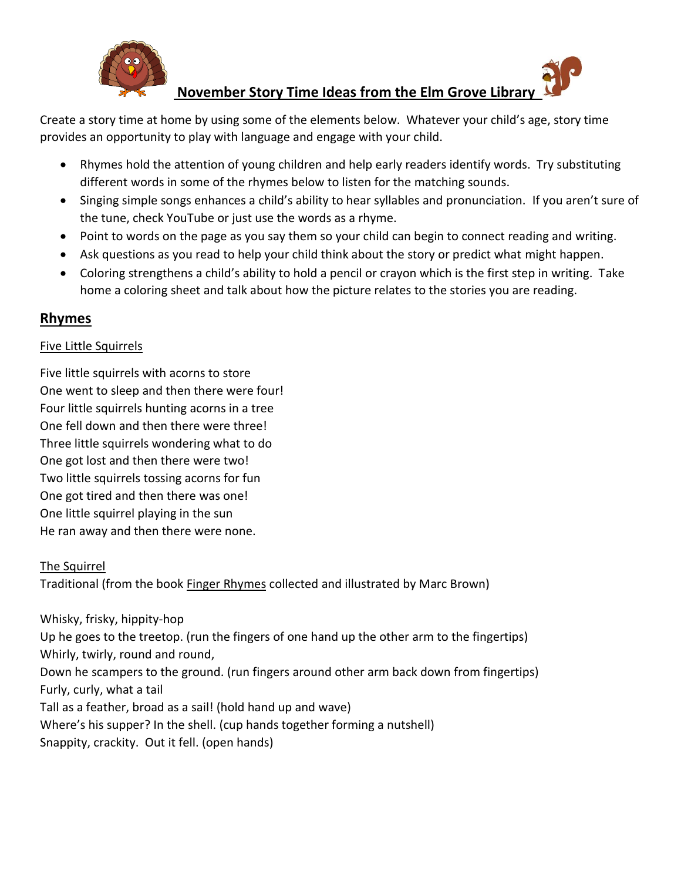

# **November Story Time Ideas from the Elm Grove Library**

Create a story time at home by using some of the elements below. Whatever your child's age, story time provides an opportunity to play with language and engage with your child.

- Rhymes hold the attention of young children and help early readers identify words. Try substituting different words in some of the rhymes below to listen for the matching sounds.
- Singing simple songs enhances a child's ability to hear syllables and pronunciation. If you aren't sure of the tune, check YouTube or just use the words as a rhyme.
- Point to words on the page as you say them so your child can begin to connect reading and writing.
- Ask questions as you read to help your child think about the story or predict what might happen.
- Coloring strengthens a child's ability to hold a pencil or crayon which is the first step in writing. Take home a coloring sheet and talk about how the picture relates to the stories you are reading.

### **Rhymes**

### Five Little Squirrels

Five little squirrels with acorns to store One went to sleep and then there were four! Four little squirrels hunting acorns in a tree One fell down and then there were three! Three little squirrels wondering what to do One got lost and then there were two! Two little squirrels tossing acorns for fun One got tired and then there was one! One little squirrel playing in the sun He ran away and then there were none.

### The Squirrel

Traditional (from the book Finger Rhymes collected and illustrated by Marc Brown)

Whisky, frisky, hippity-hop Up he goes to the treetop. (run the fingers of one hand up the other arm to the fingertips) Whirly, twirly, round and round, Down he scampers to the ground. (run fingers around other arm back down from fingertips) Furly, curly, what a tail Tall as a feather, broad as a sail! (hold hand up and wave) Where's his supper? In the shell. (cup hands together forming a nutshell) Snappity, crackity. Out it fell. (open hands)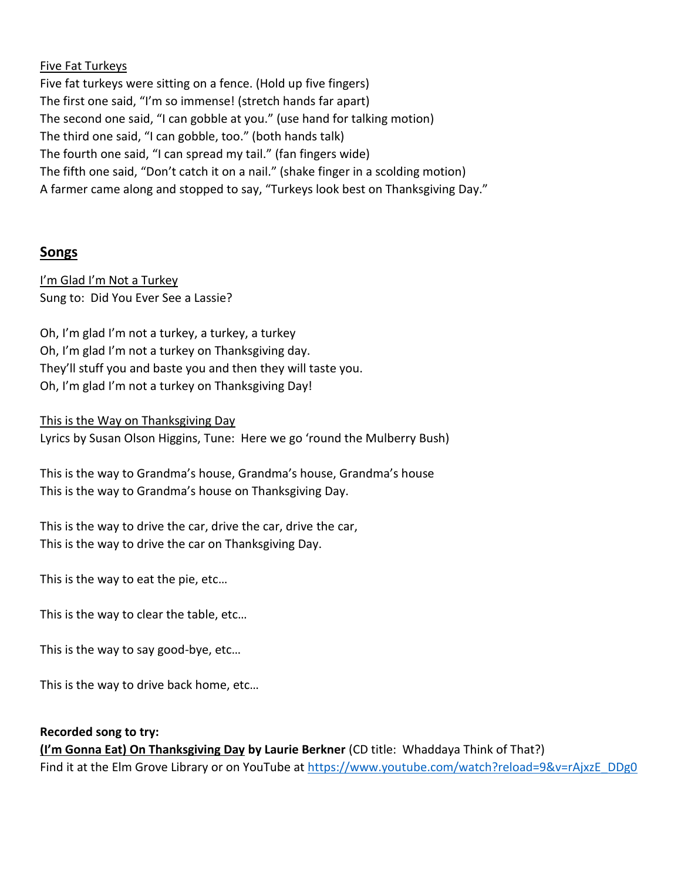#### Five Fat Turkeys

Five fat turkeys were sitting on a fence. (Hold up five fingers) The first one said, "I'm so immense! (stretch hands far apart) The second one said, "I can gobble at you." (use hand for talking motion) The third one said, "I can gobble, too." (both hands talk) The fourth one said, "I can spread my tail." (fan fingers wide) The fifth one said, "Don't catch it on a nail." (shake finger in a scolding motion) A farmer came along and stopped to say, "Turkeys look best on Thanksgiving Day."

### **Songs**

I'm Glad I'm Not a Turkey Sung to: Did You Ever See a Lassie?

Oh, I'm glad I'm not a turkey, a turkey, a turkey Oh, I'm glad I'm not a turkey on Thanksgiving day. They'll stuff you and baste you and then they will taste you. Oh, I'm glad I'm not a turkey on Thanksgiving Day!

This is the Way on Thanksgiving Day

Lyrics by Susan Olson Higgins, Tune: Here we go 'round the Mulberry Bush)

This is the way to Grandma's house, Grandma's house, Grandma's house This is the way to Grandma's house on Thanksgiving Day.

This is the way to drive the car, drive the car, drive the car, This is the way to drive the car on Thanksgiving Day.

This is the way to eat the pie, etc…

This is the way to clear the table, etc…

This is the way to say good-bye, etc…

This is the way to drive back home, etc…

#### **Recorded song to try:**

**(I'm Gonna Eat) On Thanksgiving Day by Laurie Berkner** (CD title: Whaddaya Think of That?) Find it at the Elm Grove Library or on YouTube at [https://www.youtube.com/watch?reload=9&v=rAjxzE\\_DDg0](https://www.youtube.com/watch?reload=9&v=rAjxzE_DDg0)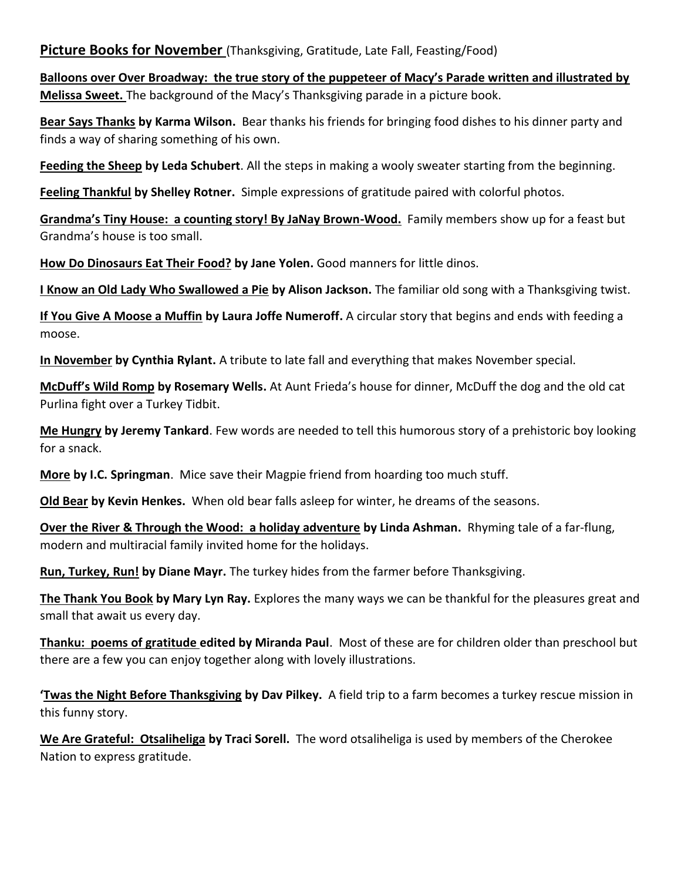**Picture Books for November** (Thanksgiving, Gratitude, Late Fall, Feasting/Food)

**Balloons over Over Broadway: the true story of the puppeteer of Macy's Parade written and illustrated by Melissa Sweet.** The background of the Macy's Thanksgiving parade in a picture book.

**Bear Says Thanks by Karma Wilson.** Bear thanks his friends for bringing food dishes to his dinner party and finds a way of sharing something of his own.

**Feeding the Sheep by Leda Schubert**. All the steps in making a wooly sweater starting from the beginning.

**Feeling Thankful by Shelley Rotner.** Simple expressions of gratitude paired with colorful photos.

**Grandma's Tiny House: a counting story! By JaNay Brown-Wood.** Family members show up for a feast but Grandma's house is too small.

**How Do Dinosaurs Eat Their Food? by Jane Yolen.** Good manners for little dinos.

**I Know an Old Lady Who Swallowed a Pie by Alison Jackson.** The familiar old song with a Thanksgiving twist.

**If You Give A Moose a Muffin by Laura Joffe Numeroff.** A circular story that begins and ends with feeding a moose.

**In November by Cynthia Rylant.** A tribute to late fall and everything that makes November special.

**McDuff's Wild Romp by Rosemary Wells.** At Aunt Frieda's house for dinner, McDuff the dog and the old cat Purlina fight over a Turkey Tidbit.

**Me Hungry by Jeremy Tankard**. Few words are needed to tell this humorous story of a prehistoric boy looking for a snack.

**More by I.C. Springman**. Mice save their Magpie friend from hoarding too much stuff.

**Old Bear by Kevin Henkes.** When old bear falls asleep for winter, he dreams of the seasons.

**Over the River & Through the Wood: a holiday adventure by Linda Ashman.** Rhyming tale of a far-flung, modern and multiracial family invited home for the holidays.

**Run, Turkey, Run! by Diane Mayr.** The turkey hides from the farmer before Thanksgiving.

**The Thank You Book by Mary Lyn Ray.** Explores the many ways we can be thankful for the pleasures great and small that await us every day.

**Thanku: poems of gratitude edited by Miranda Paul**. Most of these are for children older than preschool but there are a few you can enjoy together along with lovely illustrations.

**'Twas the Night Before Thanksgiving by Dav Pilkey.** A field trip to a farm becomes a turkey rescue mission in this funny story.

**We Are Grateful: Otsaliheliga by Traci Sorell.** The word otsaliheliga is used by members of the Cherokee Nation to express gratitude.